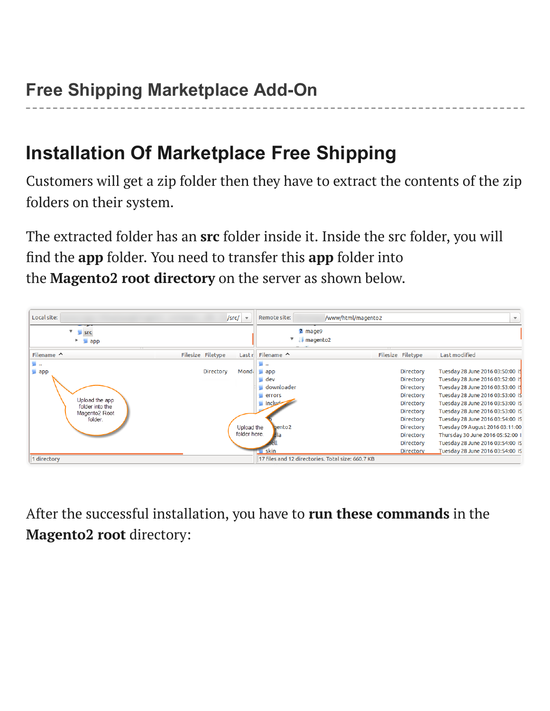## **Installation Of Marketplace Free Shipping**

Customers will get a zip folder then they have to extract the contents of the zip folders on their system.

The extracted folder has an **src** folder inside it. Inside the src folder, you will find the **app** folder. You need to transfer this **app** folder into the **Magento2 root directory** on the server as shown below.



After the successful installation, you have to **run these commands** in the **Magento2 root** directory: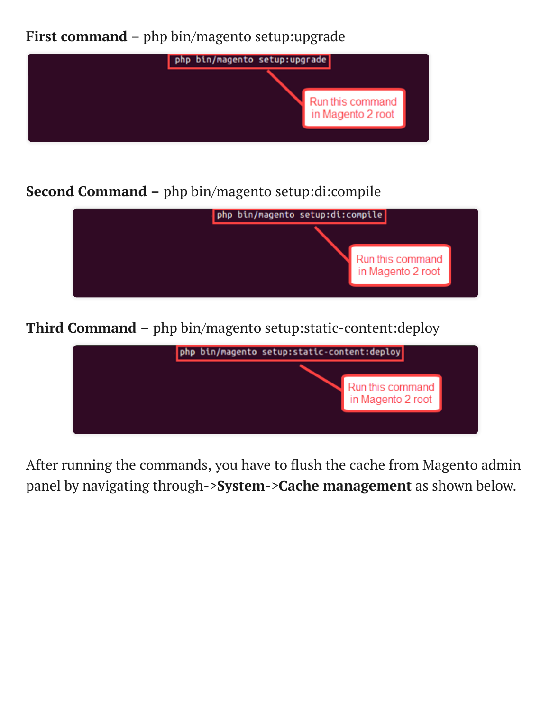**First command** – php bin/magento setup:upgrade



**Second Command –** php bin/magento setup:di:compile



**Third Command –** php bin/magento setup:static-content:deploy



After running the commands, you have to flush the cache from Magento admin panel by navigating through->**System**->**Cache management** as shown below.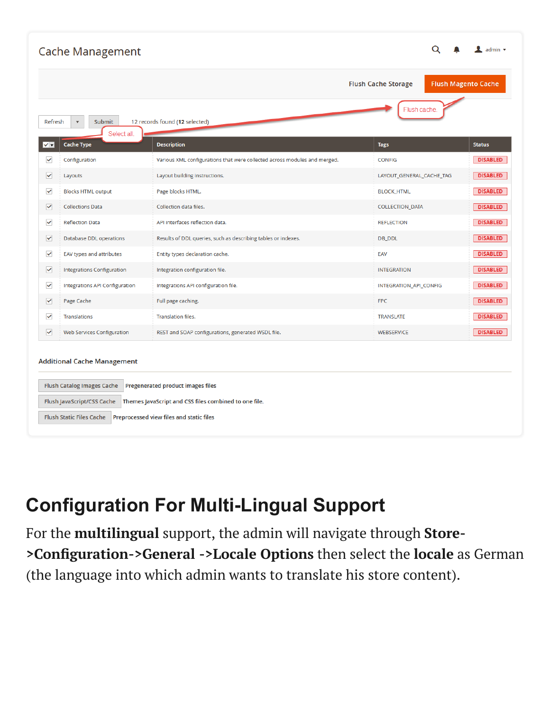| <b>Cache Management</b>                                                                                              |                                       | $\mathbf 1$ admin $\mathbf 7$                                             |                            |  |                            |  |  |  |  |  |
|----------------------------------------------------------------------------------------------------------------------|---------------------------------------|---------------------------------------------------------------------------|----------------------------|--|----------------------------|--|--|--|--|--|
|                                                                                                                      |                                       |                                                                           | <b>Flush Cache Storage</b> |  | <b>Flush Magento Cache</b> |  |  |  |  |  |
| Flush cache.<br>12 records found (12 selected)<br>Refresh<br><b>Submit</b><br>$\overline{\mathbf{v}}$<br>Select all. |                                       |                                                                           |                            |  |                            |  |  |  |  |  |
| √ ▼                                                                                                                  | <b>Cache Type</b>                     | <b>Description</b>                                                        | <b>Tags</b>                |  | <b>Status</b>              |  |  |  |  |  |
| $\checkmark$                                                                                                         | Configuration                         | Various XML configurations that were collected across modules and merged. | <b>CONFIG</b>              |  | <b>DISABLED</b>            |  |  |  |  |  |
| $\checkmark$                                                                                                         | Layouts                               | Layout building instructions.                                             | LAYOUT_GENERAL_CACHE_TAG   |  | <b>DISABLED</b>            |  |  |  |  |  |
| $\checkmark$                                                                                                         | <b>Blocks HTML output</b>             | Page blocks HTML.                                                         | <b>BLOCK_HTML</b>          |  | <b>DISABLED</b>            |  |  |  |  |  |
| ✓                                                                                                                    | <b>Collections Data</b>               | Collection data files.                                                    | <b>COLLECTION_DATA</b>     |  | <b>DISABLED</b>            |  |  |  |  |  |
| $\checkmark$                                                                                                         | <b>Reflection Data</b>                | API interfaces reflection data.                                           | <b>REFLECTION</b>          |  | <b>DISABLED</b>            |  |  |  |  |  |
| ᢦ                                                                                                                    | Database DDL operations               | Results of DDL queries, such as describing tables or indexes.             | DB_DDL                     |  | <b>DISABLED</b>            |  |  |  |  |  |
| $\checkmark$                                                                                                         | EAV types and attributes              | Entity types declaration cache.                                           | EAV                        |  | <b>DISABLED</b>            |  |  |  |  |  |
| $\checkmark$                                                                                                         | <b>Integrations Configuration</b>     | Integration configuration file.                                           | <b>INTEGRATION</b>         |  | <b>DISABLED</b>            |  |  |  |  |  |
| $\checkmark$                                                                                                         | <b>Integrations API Configuration</b> | Integrations API configuration file.                                      | INTEGRATION_API_CONFIG     |  | <b>DISABLED</b>            |  |  |  |  |  |
| $\checkmark$                                                                                                         | Page Cache                            | Full page caching.                                                        | <b>FPC</b>                 |  | <b>DISABLED</b>            |  |  |  |  |  |
| $\checkmark$                                                                                                         | Translations                          | <b>Translation files.</b>                                                 | <b>TRANSLATE</b>           |  | <b>DISABLED</b>            |  |  |  |  |  |
| $\checkmark$                                                                                                         | <b>Web Services Configuration</b>     | REST and SOAP configurations, generated WSDL file.                        | <b>WEBSERVICE</b>          |  | <b>DISABLED</b>            |  |  |  |  |  |
| <b>Additional Cache Management</b>                                                                                   |                                       |                                                                           |                            |  |                            |  |  |  |  |  |
| <b>Flush Catalog Images Cache</b><br>Pregenerated product images files                                               |                                       |                                                                           |                            |  |                            |  |  |  |  |  |
| Flush JavaScript/CSS Cache<br>Themes JavaScript and CSS files combined to one file.                                  |                                       |                                                                           |                            |  |                            |  |  |  |  |  |
| <b>Flush Static Files Cache</b><br>Preprocessed view files and static files                                          |                                       |                                                                           |                            |  |                            |  |  |  |  |  |

## **Configuration For Multi-Lingual Support**

For the **multilingual** support, the admin will navigate through **Store- >Configuration->General ->Locale Options** then select the **locale** as German (the language into which admin wants to translate his store content).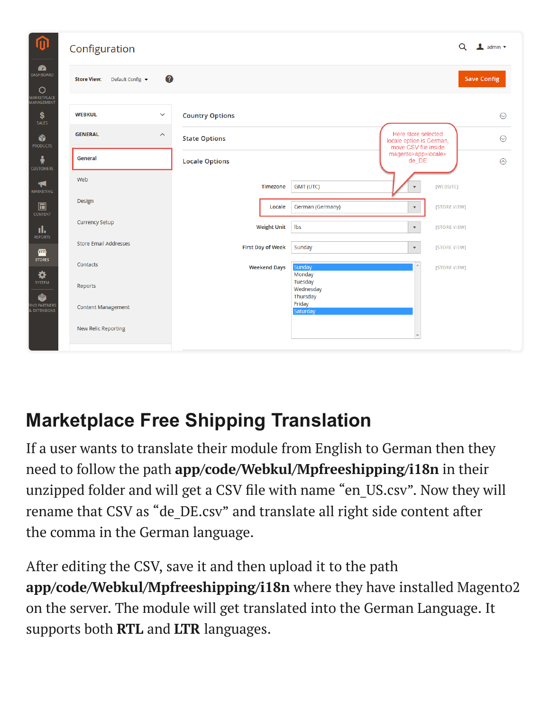| 价                                                                  | Configuration                               |                          |                                          |                                                                         |                    |  |
|--------------------------------------------------------------------|---------------------------------------------|--------------------------|------------------------------------------|-------------------------------------------------------------------------|--------------------|--|
| $\mathbf{z}$<br>DASHBOARD<br>O<br>MARKETPLACE<br><b>MANAGEMENT</b> | 0<br><b>Store View:</b><br>Default Config v |                          |                                          |                                                                         | <b>Save Config</b> |  |
| \$<br><b>SALES</b>                                                 | <b>WEBKUL</b><br>$\checkmark$               | <b>Country Options</b>   |                                          |                                                                         | $\odot$            |  |
| Ŵ<br><b>PRODUCTS</b>                                               | <b>GENERAL</b><br>$\boldsymbol{\wedge}$     | <b>State Options</b>     |                                          | Here store selected<br>locale option is German,<br>move CSV file inside | $\odot$            |  |
| ň<br><b>CUSTOMERS</b>                                              | General                                     | <b>Locale Options</b>    |                                          | magento>app>locale><br>de DE                                            | $\odot$            |  |
| H<br><b>MARKETING</b>                                              | Web                                         | Timezone                 | <b>GMT (UTC)</b>                         | [WEBSITE]<br>$\overline{\mathbf{v}}$                                    |                    |  |
| $\square$<br><b>CONTENT</b>                                        | Design                                      |                          | Locale<br>German (Germany)               | [STORE VIEW]<br>$\blacktriangledown$                                    |                    |  |
| d.<br><b>REPORTS</b>                                               | <b>Currency Setup</b>                       | <b>Weight Unit</b>       | Ibs                                      | $\mathbf{v}$<br>[STORE VIEW]                                            |                    |  |
| 個<br><b>STORES</b>                                                 | <b>Store Email Addresses</b>                | <b>First Day of Week</b> | Sunday                                   | $\overline{\mathbf{v}}$<br>[STORE VIEW]                                 |                    |  |
| ❖<br>SYSTEM                                                        | Contacts<br>Reports                         | <b>Weekend Days</b>      | Sunday<br>Monday<br>Tuesday<br>Wednesday | [STORE VIEW]                                                            |                    |  |
| Ô<br>FIND PARTNERS<br>& EXTENSIONS                                 | <b>Content Management</b>                   |                          | Thursday<br>Friday<br>Saturday           |                                                                         |                    |  |
|                                                                    | <b>New Relic Reporting</b>                  |                          |                                          |                                                                         |                    |  |

## **Marketplace Free Shipping Translation**

If a user wants to translate their module from English to German then they need to follow the path **app/code/Webkul/Mpfreeshipping/i18n** in their unzipped folder and will get a CSV file with name "en\_US.csv". Now they will rename that CSV as "de\_DE.csv" and translate all right side content after the comma in the German language.

After editing the CSV, save it and then upload it to the path **app/code/Webkul/Mpfreeshipping/i18n** where they have installed Magento2 on the server. The module will get translated into the German Language. It supports both **RTL** and **LTR** languages.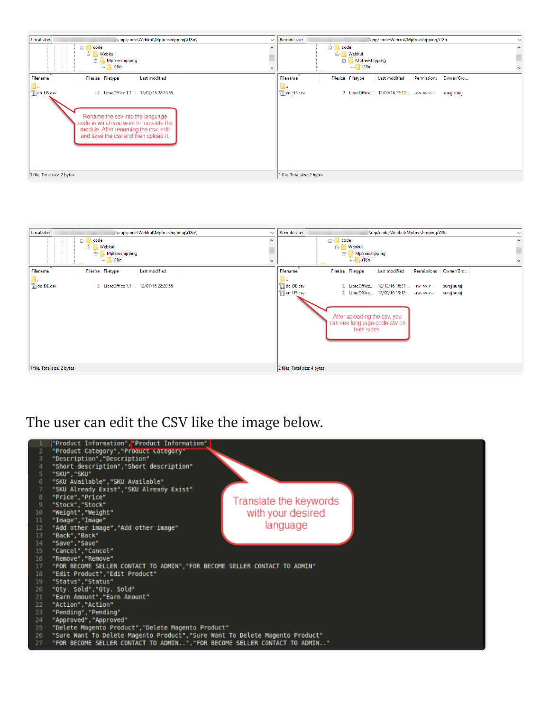



## The user can edit the CSV like the image below.